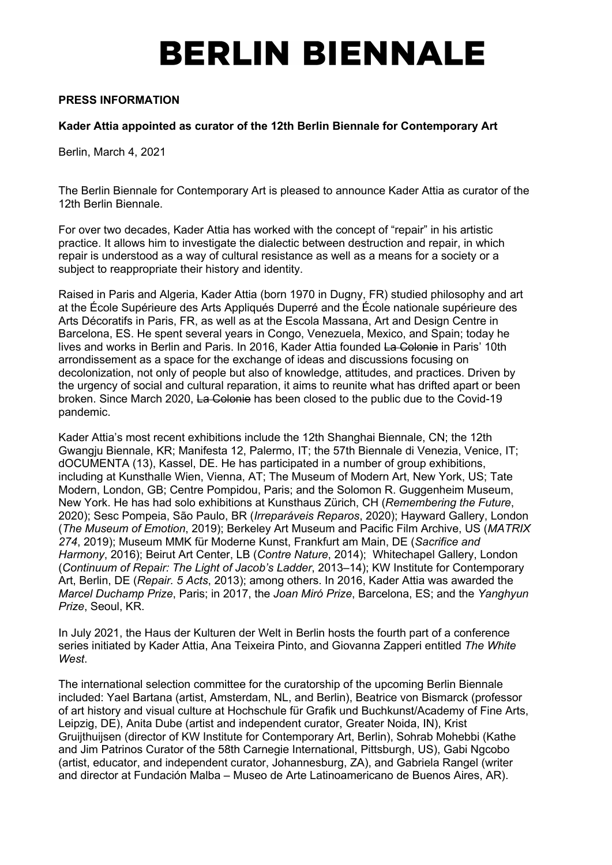# **BERLIN BIENNALE**

### **PRESS INFORMATION**

### **Kader Attia appointed as curator of the 12th Berlin Biennale for Contemporary Art**

Berlin, March 4, 2021

The Berlin Biennale for Contemporary Art is pleased to announce Kader Attia as curator of the 12th Berlin Biennale.

For over two decades, Kader Attia has worked with the concept of "repair" in his artistic practice. It allows him to investigate the dialectic between destruction and repair, in which repair is understood as a way of cultural resistance as well as a means for a society or a subject to reappropriate their history and identity.

Raised in Paris and Algeria, Kader Attia (born 1970 in Dugny, FR) studied philosophy and art at the École Supérieure des Arts Appliqués Duperré and the École nationale supérieure des Arts Décoratifs in Paris, FR, as well as at the Escola Massana, Art and Design Centre in Barcelona, ES. He spent several years in Congo, Venezuela, Mexico, and Spain; today he lives and works in Berlin and Paris. In 2016, Kader Attia founded La Colonie in Paris' 10th arrondissement as a space for the exchange of ideas and discussions focusing on decolonization, not only of people but also of knowledge, attitudes, and practices. Driven by the urgency of social and cultural reparation, it aims to reunite what has drifted apart or been broken. Since March 2020, La Colonie has been closed to the public due to the Covid-19 pandemic.

Kader Attia's most recent exhibitions include the 12th Shanghai Biennale, CN; the 12th Gwangju Biennale, KR; Manifesta 12, Palermo, IT; the 57th Biennale di Venezia, Venice, IT; dOCUMENTA (13), Kassel, DE. He has participated in a number of group exhibitions, including at Kunsthalle Wien, Vienna, AT; The Museum of Modern Art, New York, US; Tate Modern, London, GB; Centre Pompidou, Paris; and the Solomon R. Guggenheim Museum, New York. He has had solo exhibitions at Kunsthaus Zürich, CH (*Remembering the Future*, 2020); Sesc Pompeia, São Paulo, BR (*Irreparáveis Reparos*, 2020); Hayward Gallery, London (*The Museum of Emotion*, 2019); Berkeley Art Museum and Pacific Film Archive, US (*MATRIX 274*, 2019); Museum MMK für Moderne Kunst, Frankfurt am Main, DE (*Sacrifice and Harmony*, 2016); Beirut Art Center, LB (*Contre Nature*, 2014); Whitechapel Gallery, London (*Continuum of Repair: The Light of Jacob's Ladder*, 2013–14); KW Institute for Contemporary Art, Berlin, DE (*Repair. 5 Acts*, 2013); among others. In 2016, Kader Attia was awarded the *Marcel Duchamp Prize*, Paris; in 2017, the *Joan Miró Prize*, Barcelona, ES; and the *Yanghyun Prize*, Seoul, KR.

In July 2021, the Haus der Kulturen der Welt in Berlin hosts the fourth part of a conference series initiated by Kader Attia, Ana Teixeira Pinto, and Giovanna Zapperi entitled *The White West*.

The international selection committee for the curatorship of the upcoming Berlin Biennale included: Yael Bartana (artist, Amsterdam, NL, and Berlin), Beatrice von Bismarck (professor of art history and visual culture at Hochschule für Grafik und Buchkunst/Academy of Fine Arts, Leipzig, DE), Anita Dube (artist and independent curator, Greater Noida, IN), Krist Gruijthuijsen (director of KW Institute for Contemporary Art, Berlin), Sohrab Mohebbi (Kathe and Jim Patrinos Curator of the 58th Carnegie International, Pittsburgh, US), Gabi Ngcobo (artist, educator, and independent curator, Johannesburg, ZA), and Gabriela Rangel (writer and director at Fundación Malba – Museo de Arte Latinoamericano de Buenos Aires, AR).